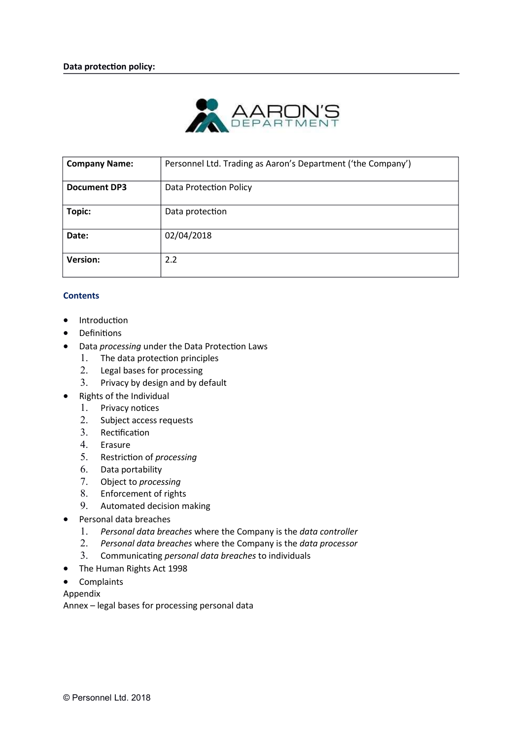

| <b>Company Name:</b> | Personnel Ltd. Trading as Aaron's Department ('the Company') |
|----------------------|--------------------------------------------------------------|
| <b>Document DP3</b>  | <b>Data Protection Policy</b>                                |
| Topic:               | Data protection                                              |
| Date:                | 02/04/2018                                                   |
| <b>Version:</b>      | 2.2                                                          |

## **Contents**

- Introduction
- Definitions
- Data processing under the Data Protection Laws
	- 1. The data protection principles
	- 2. Legal bases for processing
	- 3. Privacy by design and by default
- Rights of the Individual
	- 1. Privacy notices
	- 2. Subject access requests
	- 3. Rectification
	- 4. Erasure
	- 5. Restriction of processing
	- 6. Data portability
	- 7. Object to processing
	- 8. Enforcement of rights
	- 9. Automated decision making
- Personal data breaches
	- 1. Personal data breaches where the Company is the data controller
	- 2. Personal data breaches where the Company is the data processor
	- 3. Communicating personal data breaches to individuals
- The Human Rights Act 1998
- Complaints

Appendix

Annex – legal bases for processing personal data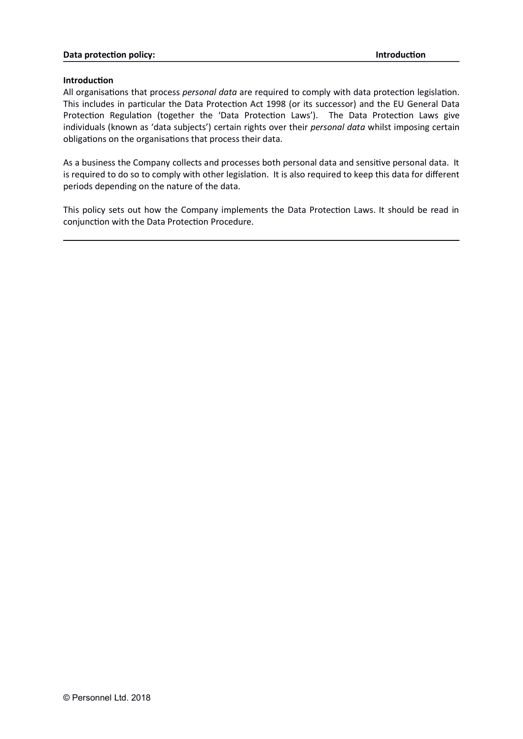#### Data protection policy: Introduction control by the protection of the protection of the protection of the protection

#### **Introduction**

All organisations that process personal data are required to comply with data protection legislation. This includes in particular the Data Protection Act 1998 (or its successor) and the EU General Data Protection Regulation (together the 'Data Protection Laws'). The Data Protection Laws give individuals (known as 'data subjects') certain rights over their personal data whilst imposing certain obligations on the organisations that process their data.

As a business the Company collects and processes both personal data and sensitive personal data. It is required to do so to comply with other legislation. It is also required to keep this data for different periods depending on the nature of the data.

This policy sets out how the Company implements the Data Protection Laws. It should be read in conjunction with the Data Protection Procedure.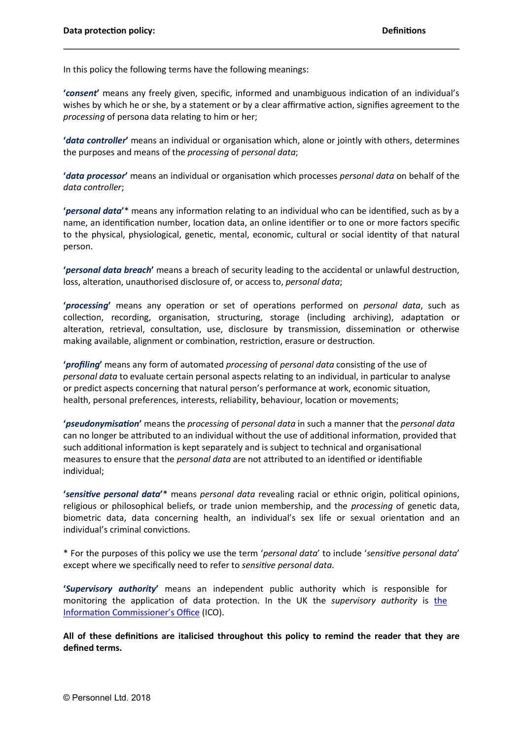In this policy the following terms have the following meanings:

'consent' means any freely given, specific, informed and unambiguous indication of an individual's wishes by which he or she, by a statement or by a clear affirmative action, signifies agreement to the processing of persona data relating to him or her;

'data controller' means an individual or organisation which, alone or jointly with others, determines the purposes and means of the processing of personal data;

'data processor' means an individual or organisation which processes personal data on behalf of the data controller;

'personal data'\* means any information relating to an individual who can be identified, such as by a name, an identification number, location data, an online identifier or to one or more factors specific to the physical, physiological, genetic, mental, economic, cultural or social identity of that natural person.

'personal data breach' means a breach of security leading to the accidental or unlawful destruction, loss, alteration, unauthorised disclosure of, or access to, personal data;

'processing' means any operation or set of operations performed on *personal data*, such as collection, recording, organisation, structuring, storage (including archiving), adaptation or alteration, retrieval, consultation, use, disclosure by transmission, dissemination or otherwise making available, alignment or combination, restriction, erasure or destruction.

'profiling' means any form of automated processing of personal data consisting of the use of personal data to evaluate certain personal aspects relating to an individual, in particular to analyse or predict aspects concerning that natural person's performance at work, economic situation, health, personal preferences, interests, reliability, behaviour, location or movements;

'pseudonymisation' means the processing of personal data in such a manner that the personal data can no longer be attributed to an individual without the use of additional information, provided that such additional information is kept separately and is subject to technical and organisational measures to ensure that the *personal data* are not attributed to an identified or identifiable individual;

'sensitive personal data'\* means personal data revealing racial or ethnic origin, political opinions, religious or philosophical beliefs, or trade union membership, and the *processing* of genetic data, biometric data, data concerning health, an individual's sex life or sexual orientation and an individual's criminal convictions.

\* For the purposes of this policy we use the term 'personal data' to include 'sensitive personal data' except where we specifically need to refer to sensitive personal data.

'Supervisory authority' means an independent public authority which is responsible for monitoring the application of data protection. In the UK the *supervisory authority* is the Information Commissioner's Office (ICO).

All of these definitions are italicised throughout this policy to remind the reader that they are defined terms.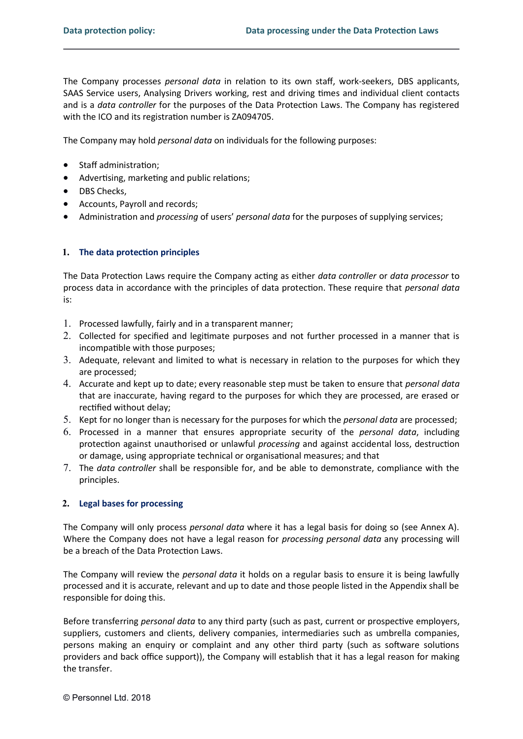The Company processes personal data in relation to its own staff, work-seekers, DBS applicants, SAAS Service users, Analysing Drivers working, rest and driving times and individual client contacts and is a *data controller* for the purposes of the Data Protection Laws. The Company has registered with the ICO and its registration number is ZA094705.

The Company may hold personal data on individuals for the following purposes:

- Staff administration:
- Advertising, marketing and public relations;
- DBS Checks,
- Accounts, Payroll and records;
- Administration and processing of users' personal data for the purposes of supplying services;

### 1. The data protection principles

The Data Protection Laws require the Company acting as either data controller or data processor to process data in accordance with the principles of data protection. These require that *personal data* is:

- 1. Processed lawfully, fairly and in a transparent manner;
- 2. Collected for specified and legitimate purposes and not further processed in a manner that is incompatible with those purposes;
- 3. Adequate, relevant and limited to what is necessary in relation to the purposes for which they are processed;
- 4. Accurate and kept up to date; every reasonable step must be taken to ensure that personal data that are inaccurate, having regard to the purposes for which they are processed, are erased or rectified without delay;
- 5. Kept for no longer than is necessary for the purposes for which the *personal data* are processed;
- 6. Processed in a manner that ensures appropriate security of the personal data, including protection against unauthorised or unlawful processing and against accidental loss, destruction or damage, using appropriate technical or organisational measures; and that
- 7. The data controller shall be responsible for, and be able to demonstrate, compliance with the principles.

## 2. Legal bases for processing

The Company will only process *personal data* where it has a legal basis for doing so (see Annex A). Where the Company does not have a legal reason for *processing personal data* any processing will be a breach of the Data Protection Laws.

The Company will review the *personal data* it holds on a regular basis to ensure it is being lawfully processed and it is accurate, relevant and up to date and those people listed in the Appendix shall be responsible for doing this.

Before transferring personal data to any third party (such as past, current or prospective employers, suppliers, customers and clients, delivery companies, intermediaries such as umbrella companies, persons making an enquiry or complaint and any other third party (such as software solutions providers and back office support)), the Company will establish that it has a legal reason for making the transfer.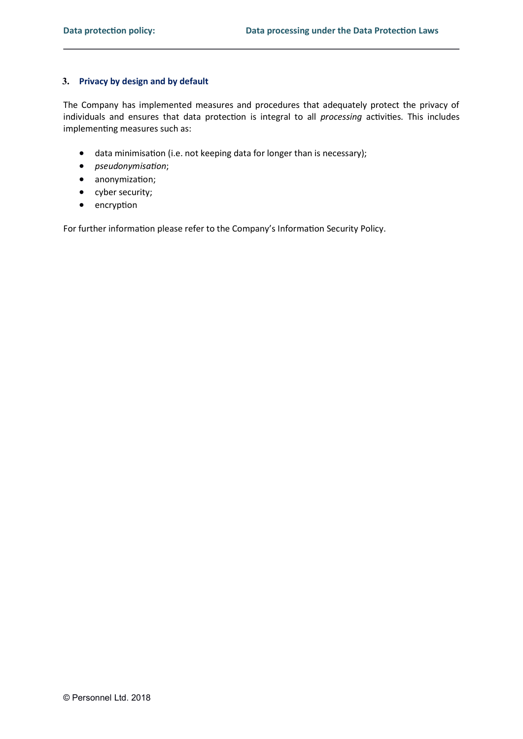## 3. Privacy by design and by default

The Company has implemented measures and procedures that adequately protect the privacy of individuals and ensures that data protection is integral to all processing activities. This includes implementing measures such as:

- data minimisation (i.e. not keeping data for longer than is necessary);
- *pseudonymisation*;
- anonymization;
- cyber security;
- encryption

For further information please refer to the Company's Information Security Policy.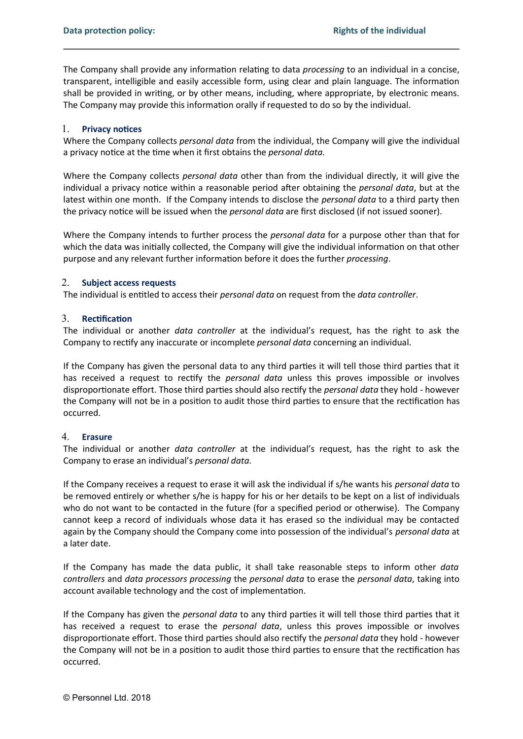The Company shall provide any information relating to data *processing* to an individual in a concise, transparent, intelligible and easily accessible form, using clear and plain language. The information shall be provided in writing, or by other means, including, where appropriate, by electronic means. The Company may provide this information orally if requested to do so by the individual.

## 1. Privacy notices

Where the Company collects personal data from the individual, the Company will give the individual a privacy notice at the time when it first obtains the *personal data*.

Where the Company collects *personal data* other than from the individual directly, it will give the individual a privacy notice within a reasonable period after obtaining the *personal data*, but at the latest within one month. If the Company intends to disclose the *personal data* to a third party then the privacy notice will be issued when the *personal data* are first disclosed (if not issued sooner).

Where the Company intends to further process the *personal data* for a purpose other than that for which the data was initially collected, the Company will give the individual information on that other purpose and any relevant further information before it does the further processing.

#### 2. Subject access requests

The individual is entitled to access their personal data on request from the data controller.

### 3. Rectification

The individual or another *data controller* at the individual's request, has the right to ask the Company to rectify any inaccurate or incomplete *personal data* concerning an individual.

If the Company has given the personal data to any third parties it will tell those third parties that it has received a request to rectify the *personal data* unless this proves impossible or involves disproportionate effort. Those third parties should also rectify the personal data they hold - however the Company will not be in a position to audit those third parties to ensure that the rectification has occurred.

# 4. Erasure

The individual or another *data controller* at the individual's request, has the right to ask the Company to erase an individual's personal data.

If the Company receives a request to erase it will ask the individual if s/he wants his personal data to be removed entirely or whether s/he is happy for his or her details to be kept on a list of individuals who do not want to be contacted in the future (for a specified period or otherwise). The Company cannot keep a record of individuals whose data it has erased so the individual may be contacted again by the Company should the Company come into possession of the individual's personal data at a later date.

If the Company has made the data public, it shall take reasonable steps to inform other *data* controllers and data processors processing the personal data to erase the personal data, taking into account available technology and the cost of implementation.

If the Company has given the *personal data* to any third parties it will tell those third parties that it has received a request to erase the *personal data*, unless this proves impossible or involves disproportionate effort. Those third parties should also rectify the personal data they hold - however the Company will not be in a position to audit those third parties to ensure that the rectification has occurred.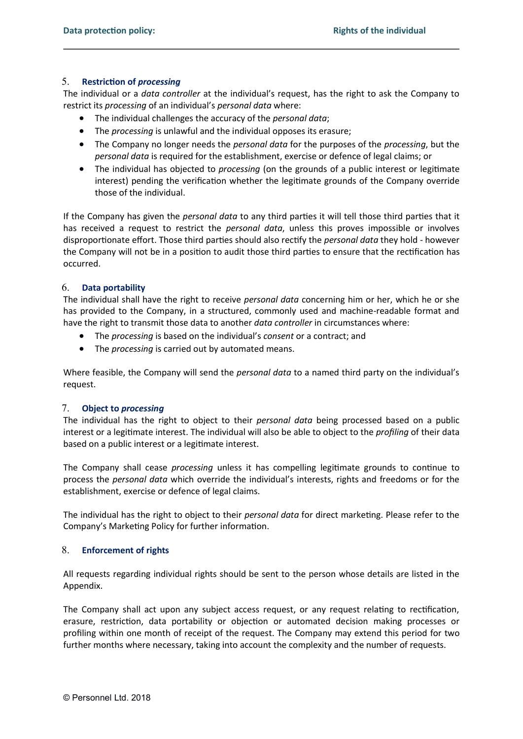## 5. Restriction of *processing*

The individual or a *data controller* at the individual's request, has the right to ask the Company to restrict its processing of an individual's personal data where:

- The individual challenges the accuracy of the *personal data*;
- The *processing* is unlawful and the individual opposes its erasure;
- The Company no longer needs the *personal data* for the purposes of the *processing*, but the personal data is required for the establishment, exercise or defence of legal claims; or
- The individual has objected to *processing* (on the grounds of a public interest or legitimate interest) pending the verification whether the legitimate grounds of the Company override those of the individual.

If the Company has given the *personal data* to any third parties it will tell those third parties that it has received a request to restrict the *personal data*, unless this proves impossible or involves disproportionate effort. Those third parties should also rectify the *personal data* they hold - however the Company will not be in a position to audit those third parties to ensure that the rectification has occurred.

## 6. Data portability

The individual shall have the right to receive personal data concerning him or her, which he or she has provided to the Company, in a structured, commonly used and machine-readable format and have the right to transmit those data to another data controller in circumstances where:

- The processing is based on the individual's consent or a contract; and
- The *processing* is carried out by automated means.

Where feasible, the Company will send the *personal data* to a named third party on the individual's request.

## 7. Object to processing

The individual has the right to object to their personal data being processed based on a public interest or a legitimate interest. The individual will also be able to object to the *profiling* of their data based on a public interest or a legitimate interest.

The Company shall cease *processing* unless it has compelling legitimate grounds to continue to process the personal data which override the individual's interests, rights and freedoms or for the establishment, exercise or defence of legal claims.

The individual has the right to object to their personal data for direct marketing. Please refer to the Company's Marketing Policy for further information.

## 8. Enforcement of rights

All requests regarding individual rights should be sent to the person whose details are listed in the Appendix.

The Company shall act upon any subject access request, or any request relating to rectification, erasure, restriction, data portability or objection or automated decision making processes or profiling within one month of receipt of the request. The Company may extend this period for two further months where necessary, taking into account the complexity and the number of requests.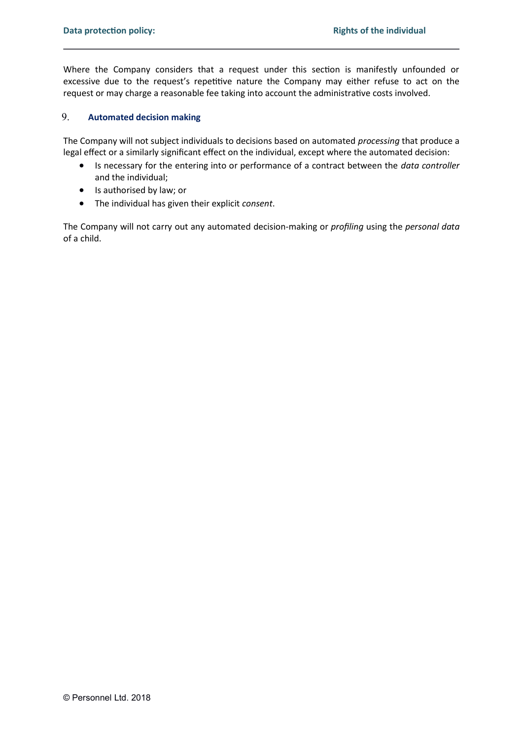Where the Company considers that a request under this section is manifestly unfounded or excessive due to the request's repetitive nature the Company may either refuse to act on the request or may charge a reasonable fee taking into account the administrative costs involved.

# 9. Automated decision making

The Company will not subject individuals to decisions based on automated processing that produce a legal effect or a similarly significant effect on the individual, except where the automated decision:

- Is necessary for the entering into or performance of a contract between the *data controller* and the individual;
- Is authorised by law; or
- The individual has given their explicit consent.

The Company will not carry out any automated decision-making or profiling using the personal data of a child.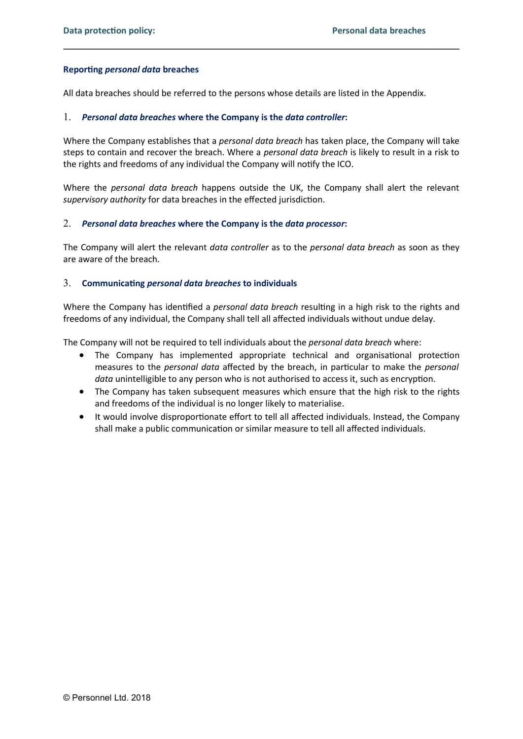## Reporting *personal data* breaches

All data breaches should be referred to the persons whose details are listed in the Appendix.

### 1. Personal data breaches where the Company is the data controller:

Where the Company establishes that a *personal data breach* has taken place, the Company will take steps to contain and recover the breach. Where a *personal data breach* is likely to result in a risk to the rights and freedoms of any individual the Company will notify the ICO.

Where the *personal data breach* happens outside the UK, the Company shall alert the relevant supervisory authority for data breaches in the effected jurisdiction.

### 2. Personal data breaches where the Company is the data processor:

The Company will alert the relevant data controller as to the personal data breach as soon as they are aware of the breach.

### 3. Communicating personal data breaches to individuals

Where the Company has identified a *personal data breach* resulting in a high risk to the rights and freedoms of any individual, the Company shall tell all affected individuals without undue delay.

The Company will not be required to tell individuals about the *personal data breach* where:

- The Company has implemented appropriate technical and organisational protection measures to the personal data affected by the breach, in particular to make the personal data unintelligible to any person who is not authorised to access it, such as encryption.
- The Company has taken subsequent measures which ensure that the high risk to the rights and freedoms of the individual is no longer likely to materialise.
- It would involve disproportionate effort to tell all affected individuals. Instead, the Company shall make a public communication or similar measure to tell all affected individuals.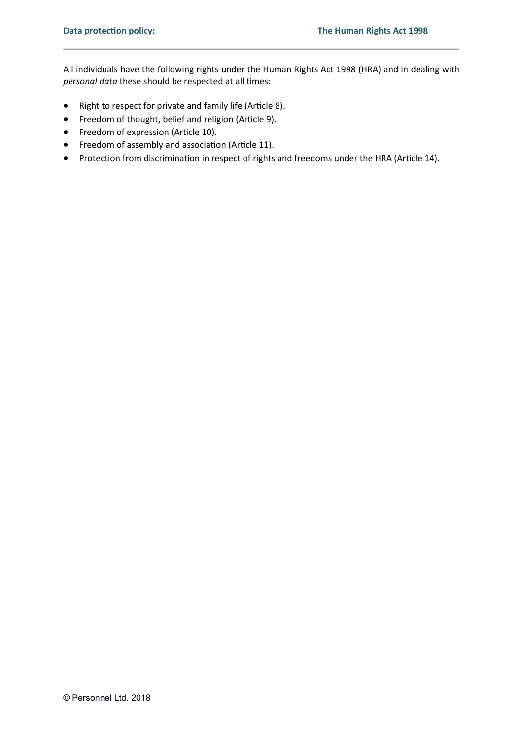All individuals have the following rights under the Human Rights Act 1998 (HRA) and in dealing with personal data these should be respected at all times:

- Right to respect for private and family life (Article 8).
- Freedom of thought, belief and religion (Article 9).
- Freedom of expression (Article 10).
- Freedom of assembly and association (Article 11).
- Protection from discrimination in respect of rights and freedoms under the HRA (Article 14).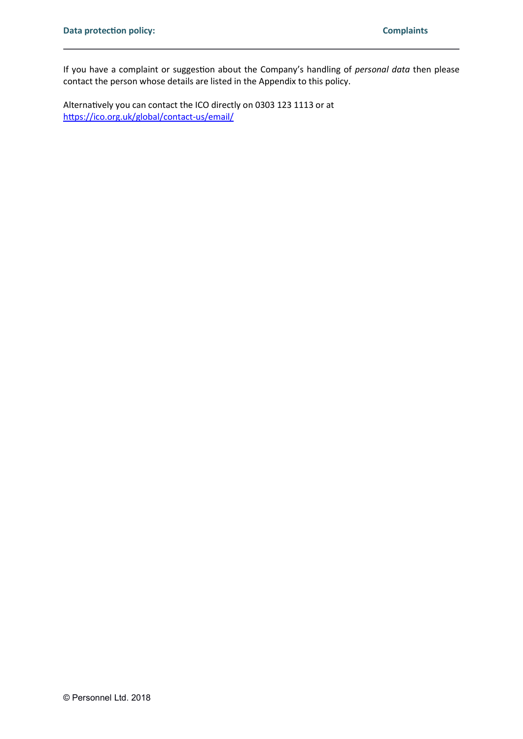If you have a complaint or suggestion about the Company's handling of personal data then please contact the person whose details are listed in the Appendix to this policy.

Alternatively you can contact the ICO directly on 0303 123 1113 or at https://ico.org.uk/global/contact-us/email/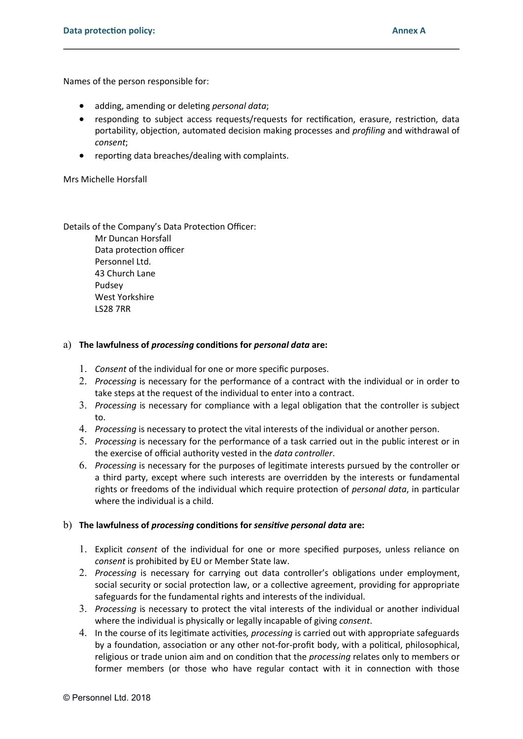Names of the person responsible for:

- adding, amending or deleting personal data;
- responding to subject access requests/requests for rectification, erasure, restriction, data portability, objection, automated decision making processes and profiling and withdrawal of consent;
- reporting data breaches/dealing with complaints.

Mrs Michelle Horsfall

### Details of the Company's Data Protection Officer:

Mr Duncan Horsfall Data protection officer Personnel Ltd. 43 Church Lane Pudsey West Yorkshire LS28 7RR

### a) The lawfulness of *processing* conditions for *personal data* are:

- 1. Consent of the individual for one or more specific purposes.
- 2. Processing is necessary for the performance of a contract with the individual or in order to take steps at the request of the individual to enter into a contract.
- 3. Processing is necessary for compliance with a legal obligation that the controller is subject to.
- 4. Processing is necessary to protect the vital interests of the individual or another person.
- 5. Processing is necessary for the performance of a task carried out in the public interest or in the exercise of official authority vested in the data controller.
- 6. Processing is necessary for the purposes of legitimate interests pursued by the controller or a third party, except where such interests are overridden by the interests or fundamental rights or freedoms of the individual which require protection of *personal data*, in particular where the individual is a child.

## b) The lawfulness of processing conditions for sensitive personal data are:

- 1. Explicit consent of the individual for one or more specified purposes, unless reliance on consent is prohibited by EU or Member State law.
- 2. Processing is necessary for carrying out data controller's obligations under employment, social security or social protection law, or a collective agreement, providing for appropriate safeguards for the fundamental rights and interests of the individual.
- 3. Processing is necessary to protect the vital interests of the individual or another individual where the individual is physically or legally incapable of giving *consent*.
- 4. In the course of its legitimate activities, *processing* is carried out with appropriate safeguards by a foundation, association or any other not-for-profit body, with a political, philosophical, religious or trade union aim and on condition that the *processing* relates only to members or former members (or those who have regular contact with it in connection with those